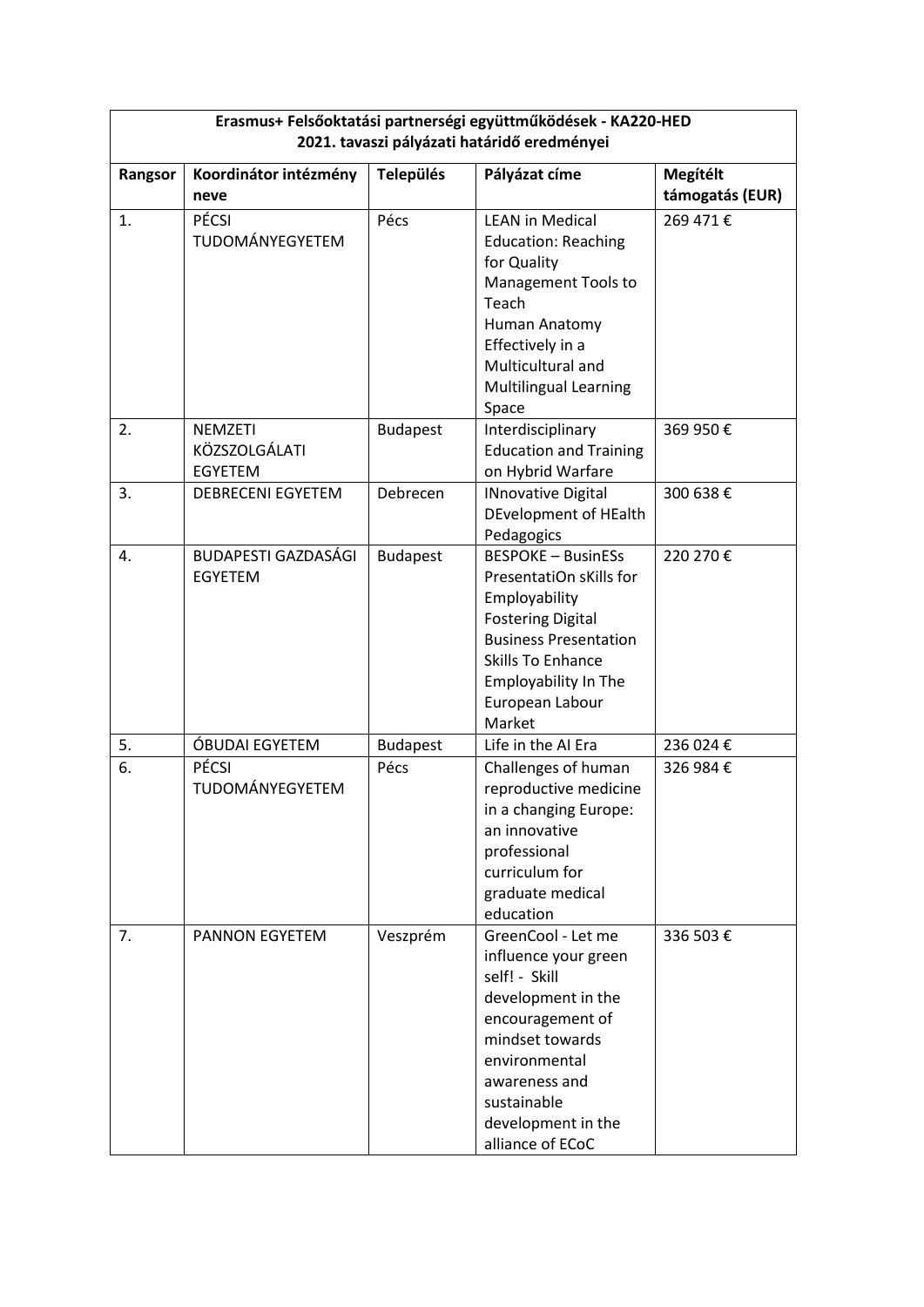| Erasmus+ Felsőoktatási partnerségi együttműködések - KA220-HED |                                            |                  |                                                                                                                                                                                                                     |                                    |  |  |  |
|----------------------------------------------------------------|--------------------------------------------|------------------|---------------------------------------------------------------------------------------------------------------------------------------------------------------------------------------------------------------------|------------------------------------|--|--|--|
| 2021. tavaszi pályázati határidő eredményei                    |                                            |                  |                                                                                                                                                                                                                     |                                    |  |  |  |
| Rangsor                                                        | Koordinátor intézmény<br>neve              | <b>Település</b> | Pályázat címe                                                                                                                                                                                                       | <b>Megítélt</b><br>támogatás (EUR) |  |  |  |
| 1.                                                             | PÉCSI<br>TUDOMÁNYEGYETEM                   | Pécs             | <b>LEAN in Medical</b><br><b>Education: Reaching</b><br>for Quality<br>Management Tools to<br>Teach<br>Human Anatomy<br>Effectively in a<br>Multicultural and<br><b>Multilingual Learning</b><br>Space              | 269 471€                           |  |  |  |
| 2.                                                             | <b>NEMZETI</b><br>KÖZSZOLGÁLATI<br>EGYETEM | <b>Budapest</b>  | Interdisciplinary<br><b>Education and Training</b><br>on Hybrid Warfare                                                                                                                                             | 369 950€                           |  |  |  |
| 3.                                                             | <b>DEBRECENI EGYETEM</b>                   | Debrecen         | <b>INnovative Digital</b><br>DEvelopment of HEalth<br>Pedagogics                                                                                                                                                    | 300 638€                           |  |  |  |
| 4.                                                             | BUDAPESTI GAZDASÁGI<br><b>EGYETEM</b>      | <b>Budapest</b>  | <b>BESPOKE - BusinESs</b><br>PresentatiOn sKills for<br>Employability<br><b>Fostering Digital</b><br><b>Business Presentation</b><br><b>Skills To Enhance</b><br>Employability In The<br>European Labour<br>Market  | 220 270€                           |  |  |  |
| 5.                                                             | ÓBUDAI EGYETEM                             | <b>Budapest</b>  | Life in the AI Era                                                                                                                                                                                                  | 236 024 €                          |  |  |  |
| 6.                                                             | PÉCSI<br>TUDOMÁNYEGYETEM                   | Pécs             | Challenges of human<br>reproductive medicine<br>in a changing Europe:<br>an innovative<br>professional<br>curriculum for<br>graduate medical<br>education                                                           | 326 984 €                          |  |  |  |
| 7.                                                             | PANNON EGYETEM                             | Veszprém         | GreenCool - Let me<br>influence your green<br>self! - Skill<br>development in the<br>encouragement of<br>mindset towards<br>environmental<br>awareness and<br>sustainable<br>development in the<br>alliance of ECoC | 336 503€                           |  |  |  |